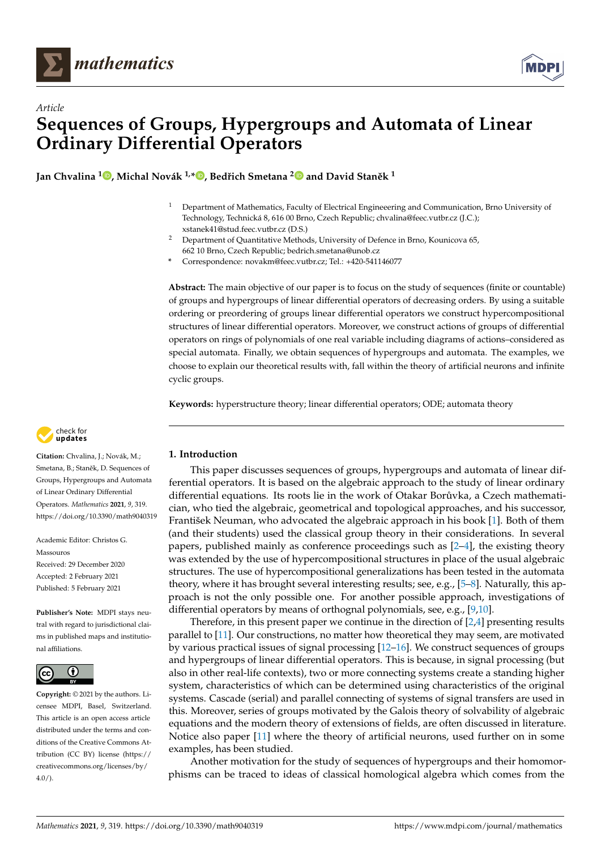

*Article*



# **Sequences of Groups, Hypergroups and Automata of Linear Ordinary Differential Operators**

**Jan Chvalina <sup>1</sup> [,](https://orcid.org/0000-0003-2852-0940) Michal Novák 1,\* [,](https://orcid.org/0000-0003-3309-8748) Bedˇrich Smetana [2](https://orcid.org/0000-0001-6446-7935) and David Stan ˇek <sup>1</sup>**

- <sup>1</sup> Department of Mathematics, Faculty of Electrical Engineeering and Communication, Brno University of Technology, Technická 8, 616 00 Brno, Czech Republic; chvalina@feec.vutbr.cz (J.C.); xstanek41@stud.feec.vutbr.cz (D.S.)
- <sup>2</sup> Department of Quantitative Methods, University of Defence in Brno, Kounicova 65, 662 10 Brno, Czech Republic; bedrich.smetana@unob.cz
- **\*** Correspondence: novakm@feec.vutbr.cz; Tel.: +420-541146077

**Abstract:** The main objective of our paper is to focus on the study of sequences (finite or countable) of groups and hypergroups of linear differential operators of decreasing orders. By using a suitable ordering or preordering of groups linear differential operators we construct hypercompositional structures of linear differential operators. Moreover, we construct actions of groups of differential operators on rings of polynomials of one real variable including diagrams of actions–considered as special automata. Finally, we obtain sequences of hypergroups and automata. The examples, we choose to explain our theoretical results with, fall within the theory of artificial neurons and infinite cyclic groups.

**Keywords:** hyperstructure theory; linear differential operators; ODE; automata theory



**Citation:** Chvalina, J.; Novák, M.; Smetana, B.; Staněk, D. Sequences of Groups, Hypergroups and Automata of Linear Ordinary Differential Operators. *Mathematics* **2021**, *9*, 319. <https://doi.org/10.3390/math9040319>

Academic Editor: Christos G. Massouros Received: 29 December 2020 Accepted: 2 February 2021 Published: 5 February 2021

**Publisher's Note:** MDPI stays neutral with regard to jurisdictional claims in published maps and institutional affiliations.



**Copyright:** © 2021 by the authors. Licensee MDPI, Basel, Switzerland. This article is an open access article distributed under the terms and conditions of the Creative Commons Attribution (CC BY) license [\(https://](https://creativecommons.org/licenses/by/4.0/) [creativecommons.org/licenses/by/](https://creativecommons.org/licenses/by/4.0/)  $4.0/$ ).

# **1. Introduction**

This paper discusses sequences of groups, hypergroups and automata of linear differential operators. It is based on the algebraic approach to the study of linear ordinary differential equations. Its roots lie in the work of Otakar Borůvka, a Czech mathematician, who tied the algebraic, geometrical and topological approaches, and his successor, František Neuman, who advocated the algebraic approach in his book [\[1\]](#page-14-0). Both of them (and their students) used the classical group theory in their considerations. In several papers, published mainly as conference proceedings such as [\[2–](#page-14-1)[4\]](#page-14-2), the existing theory was extended by the use of hypercompositional structures in place of the usual algebraic structures. The use of hypercompositional generalizations has been tested in the automata theory, where it has brought several interesting results; see, e.g., [\[5](#page-14-3)[–8\]](#page-14-4). Naturally, this approach is not the only possible one. For another possible approach, investigations of differential operators by means of orthognal polynomials, see, e.g., [\[9](#page-14-5)[,10\]](#page-14-6).

Therefore, in this present paper we continue in the direction of  $[2,4]$  $[2,4]$  presenting results parallel to [\[11\]](#page-14-7). Our constructions, no matter how theoretical they may seem, are motivated by various practical issues of signal processing [\[12](#page-14-8)[–16\]](#page-14-9). We construct sequences of groups and hypergroups of linear differential operators. This is because, in signal processing (but also in other real-life contexts), two or more connecting systems create a standing higher system, characteristics of which can be determined using characteristics of the original systems. Cascade (serial) and parallel connecting of systems of signal transfers are used in this. Moreover, series of groups motivated by the Galois theory of solvability of algebraic equations and the modern theory of extensions of fields, are often discussed in literature. Notice also paper [\[11\]](#page-14-7) where the theory of artificial neurons, used further on in some examples, has been studied.

Another motivation for the study of sequences of hypergroups and their homomorphisms can be traced to ideas of classical homological algebra which comes from the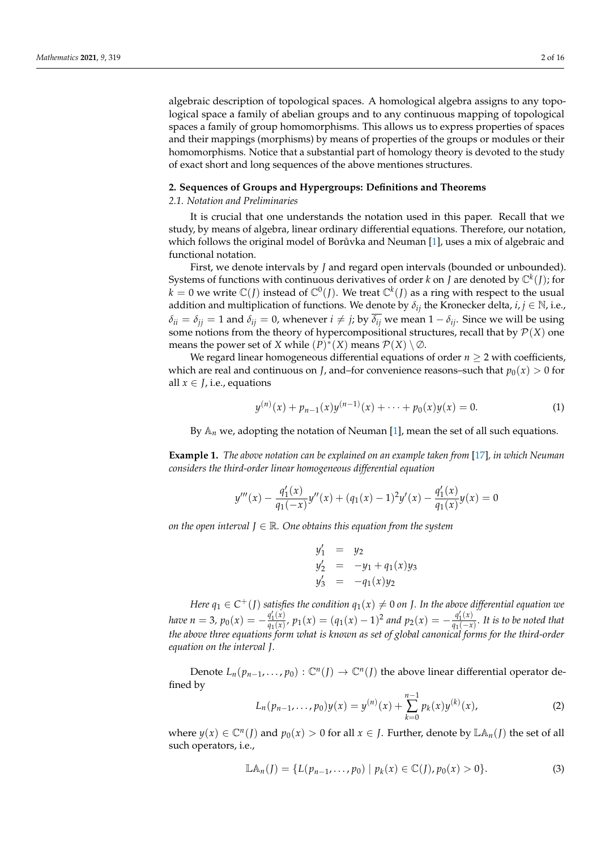algebraic description of topological spaces. A homological algebra assigns to any topological space a family of abelian groups and to any continuous mapping of topological spaces a family of group homomorphisms. This allows us to express properties of spaces and their mappings (morphisms) by means of properties of the groups or modules or their homomorphisms. Notice that a substantial part of homology theory is devoted to the study of exact short and long sequences of the above mentiones structures.

## **2. Sequences of Groups and Hypergroups: Definitions and Theorems**

## *2.1. Notation and Preliminaries*

It is crucial that one understands the notation used in this paper. Recall that we study, by means of algebra, linear ordinary differential equations. Therefore, our notation, which follows the original model of Borůvka and Neuman  $[1]$ , uses a mix of algebraic and functional notation.

First, we denote intervals by *J* and regard open intervals (bounded or unbounded). Systems of functions with continuous derivatives of order *k* on *J* are denoted by  $\mathbb{C}^k(I)$ ; for  $k = 0$  we write  $\mathbb{C}(J)$  instead of  $\mathbb{C}^0(J)$ . We treat  $\mathbb{C}^k(J)$  as a ring with respect to the usual addition and multiplication of functions. We denote by  $\delta_{ij}$  the Kronecker delta,  $i, j \in \mathbb{N}$ , i.e.,  $\delta_{ii} = \delta_{jj} = 1$  and  $\delta_{ij} = 0$ , whenever  $i \neq j$ ; by  $\delta_{ij}$  we mean  $1 - \delta_{ij}$ . Since we will be using some notions from the theory of hypercompositional structures, recall that by  $\mathcal{P}(X)$  one means the power set of *X* while  $(P)^*(X)$  means  $P(X) \setminus \emptyset$ .

We regard linear homogeneous differential equations of order  $n \geq 2$  with coefficients, which are real and continuous on *J*, and–for convenience reasons–such that  $p_0(x) > 0$  for all  $x \in I$ , i.e., equations

$$
y^{(n)}(x) + p_{n-1}(x)y^{(n-1)}(x) + \cdots + p_0(x)y(x) = 0.
$$
 (1)

By  $A_n$  we, adopting the notation of Neuman [\[1\]](#page-14-0), mean the set of all such equations.

**Example 1.** *The above notation can be explained on an example taken from* [\[17\]](#page-14-10)*, in which Neuman considers the third-order linear homogeneous differential equation*

$$
y'''(x) - \frac{q'_1(x)}{q_1(-x)}y''(x) + (q_1(x) - 1)^2y'(x) - \frac{q'_1(x)}{q_1(x)}y(x) = 0
$$

*on the open interval J* ∈ R*. One obtains this equation from the system*

$$
y'_1 = y_2 \n y'_2 = -y_1 + q_1(x)y_3 \n y'_3 = -q_1(x)y_2
$$

*Here*  $q_1 \in C^+(I)$  *satisfies the condition*  $q_1(x) \neq 0$  *on J. In the above differential equation we have*  $n = 3$ ,  $p_0(x) = -\frac{q'_1(x)}{q_1(x)}$  $q_1'(x)$ ,  $p_1(x) = (q_1(x) - 1)^2$  and  $p_2(x) = -\frac{q_1'(x)}{q_1(-x)}$  $\frac{q_1(x)}{q_1(-x)}$ . It is to be noted that *the above three equations form what is known as set of global canonical forms for the third-order equation on the interval J.*

Denote  $L_n(p_{n-1},...,p_0): \mathbb{C}^n(I) \to \mathbb{C}^n(I)$  the above linear differential operator defined by

<span id="page-1-0"></span>
$$
L_n(p_{n-1},\ldots,p_0)y(x) = y^{(n)}(x) + \sum_{k=0}^{n-1} p_k(x)y^{(k)}(x),
$$
 (2)

where  $y(x) \in \mathbb{C}^n(I)$  and  $p_0(x) > 0$  for all  $x \in I$ . Further, denote by  $\mathbb{L}\mathbb{A}_n(I)$  the set of all such operators, i.e.,

<span id="page-1-1"></span>
$$
\mathbb{L}\mathbb{A}_n(J) = \{ L(p_{n-1}, \dots, p_0) \mid p_k(x) \in \mathbb{C}(J), p_0(x) > 0 \}. \tag{3}
$$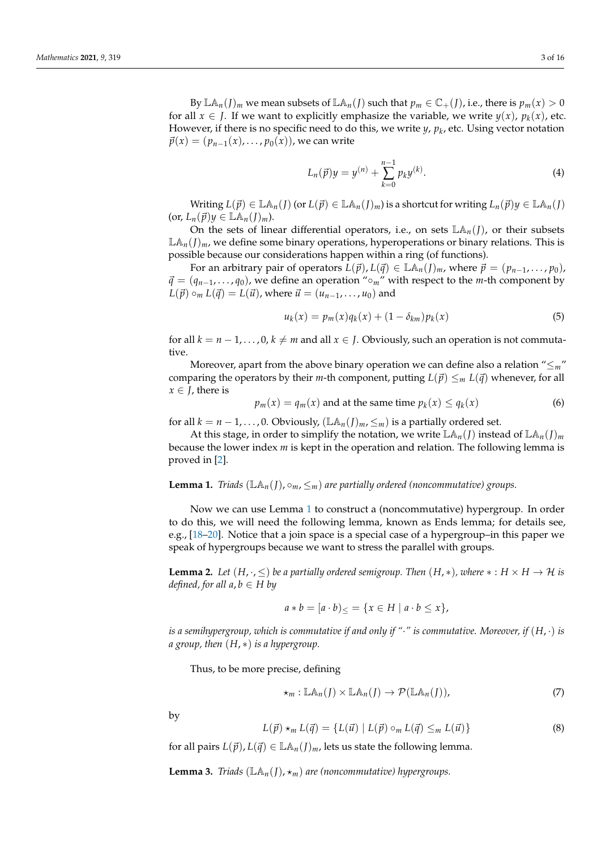By  $\mathbb{L}\mathbb{A}_n(J)_m$  we mean subsets of  $\mathbb{L}\mathbb{A}_n(J)$  such that  $p_m \in \mathbb{C}_+(J)$ , i.e., there is  $p_m(x) > 0$ for all  $x \in J$ . If we want to explicitly emphasize the variable, we write  $y(x)$ ,  $p_k(x)$ , etc. However, if there is no specific need to do this, we write  $y$ ,  $p_k$ , etc. Using vector notation  $\vec{p}(x) = (p_{n-1}(x), \ldots, p_0(x))$ , we can write

$$
L_n(\vec{p})y = y^{(n)} + \sum_{k=0}^{n-1} p_k y^{(k)}.
$$
 (4)

Writing  $L(\vec{p}) \in \mathbb{L}\mathbb{A}_n(I)$  (or  $L(\vec{p}) \in \mathbb{L}\mathbb{A}_n(I)_m$ ) is a shortcut for writing  $L_n(\vec{p})y \in \mathbb{L}\mathbb{A}_n(I)$  $(\text{or, } L_n(\vec{p})y \in \mathbb{L}\mathbb{A}_n(I)_m).$ 

On the sets of linear differential operators, i.e., on sets  $\mathbb{L}\mathbb{A}_n(J)$ , or their subsets  $\mathbb{L}\mathbb{A}_n(J)_m$ , we define some binary operations, hyperoperations or binary relations. This is possible because our considerations happen within a ring (of functions).

For an arbitrary pair of operators  $L(\vec{p})$ ,  $L(\vec{q}) \in \mathbb{L}\mathbb{A}_n(J)_m$ , where  $\vec{p} = (p_{n-1}, \ldots, p_0)$ ,  $\vec{q} = (q_{n-1}, \ldots, q_0)$ , we define an operation " $\circ_m$ " with respect to the *m*-th component by  $L(\vec{p}) \circ_m L(\vec{q}) = L(\vec{u})$ , where  $\vec{u} = (u_{n-1}, \ldots, u_0)$  and

$$
u_k(x) = p_m(x)q_k(x) + (1 - \delta_{km})p_k(x)
$$
\n(5)

for all  $k = n - 1, \ldots, 0, k \neq m$  and all  $x \in J$ . Obviously, such an operation is not commutative.

Moreover, apart from the above binary operation we can define also a relation "≤*m*" comparing the operators by their *m*-th component, putting  $L(\vec{p}) \leq_m L(\vec{q})$  whenever, for all  $x \in J$ , there is

$$
p_m(x) = q_m(x)
$$
 and at the same time  $p_k(x) \le q_k(x)$  (6)

for all  $k = n - 1, ..., 0$ . Obviously,  $(\mathbb{L}A_n(f)_m, \leq_m)$  is a partially ordered set.

At this stage, in order to simplify the notation, we write  $\mathbb{L}\mathbb{A}_n(J)$  instead of  $\mathbb{L}\mathbb{A}_n(J)_m$ because the lower index *m* is kept in the operation and relation. The following lemma is proved in [\[2\]](#page-14-1).

## <span id="page-2-0"></span>**Lemma 1.** *Triads* ( $\mathbb{L}\mathbb{A}_n(J)$ ,  $\circ_m$ ,  $\leq_m$ ) *are partially ordered (noncommutative) groups.*

Now we can use Lemma [1](#page-2-0) to construct a (noncommutative) hypergroup. In order to do this, we will need the following lemma, known as Ends lemma; for details see, e.g., [\[18–](#page-15-0)[20\]](#page-15-1). Notice that a join space is a special case of a hypergroup–in this paper we speak of hypergroups because we want to stress the parallel with groups.

<span id="page-2-3"></span>**Lemma 2.** Let  $(H, \cdot, \leq)$  be a partially ordered semigroup. Then  $(H, *)$ , where \*:  $H \times H \rightarrow H$  is *defined, for all a,*  $b \in H$  *by* 

$$
a * b = [a \cdot b] \leq \{x \in H \mid a \cdot b \leq x\},
$$

*is a semihypergroup, which is commutative if and only if "·" is commutative. Moreover, if*  $(H, \cdot)$  *is a group, then* (*H*, ∗) *is a hypergroup.*

Thus, to be more precise, defining

$$
\star_m: \mathbb{L}\mathbb{A}_n(J) \times \mathbb{L}\mathbb{A}_n(J) \to \mathcal{P}(\mathbb{L}\mathbb{A}_n(J)), \tag{7}
$$

by

<span id="page-2-1"></span>
$$
L(\vec{p}) \star_m L(\vec{q}) = \{ L(\vec{u}) \mid L(\vec{p}) \circ_m L(\vec{q}) \leq_m L(\vec{u}) \}
$$
\n(8)

for all pairs  $L(\vec{p})$ ,  $L(\vec{q}) \in L\mathbb{A}_n(I)_m$ , lets us state the following lemma.

<span id="page-2-2"></span>**Lemma 3.** *Triads*  $(\mathbb{L}\mathbb{A}_n(I), \star_m)$  *are (noncommutative) hypergroups.*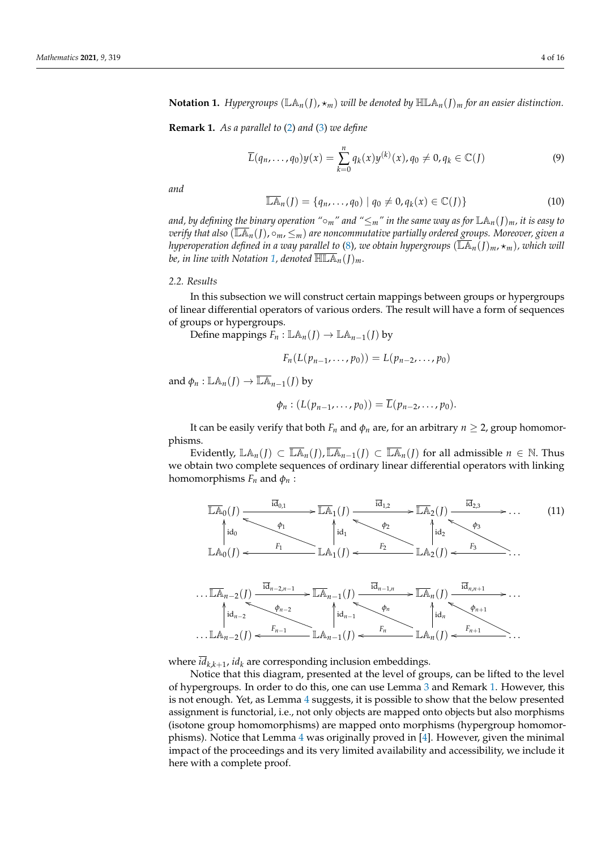<span id="page-3-0"></span>**Notation 1.** *Hypergroups*  $(\mathbb{L}\mathbb{A}_n(f), \star_m)$  *will be denoted by*  $\mathbb{H}\mathbb{L}\mathbb{A}_n(f)_m$  *for an easier distinction.* 

<span id="page-3-1"></span>**Remark 1.** *As a parallel to* [\(2\)](#page-1-0) *and* [\(3\)](#page-1-1) *we define*

$$
\overline{L}(q_n, ..., q_0)y(x) = \sum_{k=0}^n q_k(x)y^{(k)}(x), q_0 \neq 0, q_k \in \mathbb{C}(J)
$$
\n(9)

*and*

$$
\overline{\mathbb{LA}}_n(J) = \{q_n, \dots, q_0 \mid q_0 \neq 0, q_k(x) \in \mathbb{C}(J)\}\
$$
 (10)

*and, by defining the binary operation* " $\circ_m$ " and " $\leq_m$ " *in the same way as for*  $\mathbb{L}\mathbb{A}_n(f)_m$ *, it is easy to verify that also* ( $\overline{\mathbb{LA}}_n(I)$ ,  $\circ_m$ ,  $\leq_m$ ) are noncommutative partially ordered groups. Moreover, given a *hyperoperation defined in a way parallel to* [\(8\)](#page-2-1)*, we obtain hypergroups* ( $\overline{\mathbb{LA}}_n(J)_m$ ,  $\star_m$ ), which will *be, in line with Notation [1,](#page-3-0) denoted*  $\overline{\mathbb{HLA}}_n(J)_m$ *.* 

## *2.2. Results*

In this subsection we will construct certain mappings between groups or hypergroups of linear differential operators of various orders. The result will have a form of sequences of groups or hypergroups.

Define mappings  $F_n : \mathbb{L}\mathbb{A}_n(I) \to \mathbb{L}\mathbb{A}_{n-1}(I)$  by

$$
F_n(L(p_{n-1},\ldots,p_0))=L(p_{n-2},\ldots,p_0)
$$

and  $\phi_n : \mathbb{L}\mathbb{A}_n(I) \to \overline{\mathbb{L}\mathbb{A}}_{n-1}(I)$  by

$$
\phi_n:(L(p_{n-1},\ldots,p_0))=\overline{L}(p_{n-2},\ldots,p_0).
$$

It can be easily verify that both  $F_n$  and  $\phi_n$  are, for an arbitrary  $n \geq 2$ , group homomorphisms.

Evidently,  $\mathbb{L}\mathbb{A}_n(f) \subset \overline{\mathbb{L}\mathbb{A}_n(f)}$ ,  $\overline{\mathbb{L}\mathbb{A}_{n-1}(f)} \subset \overline{\mathbb{L}\mathbb{A}_n(f)}$  for all admissible  $n \in \mathbb{N}$ . Thus we obtain two complete sequences of ordinary linear differential operators with linking homomorphisms  $F_n$  and  $\phi_n$  :

<span id="page-3-2"></span>

where  $id_{k,k+1}$ ,  $id_k$  are corresponding inclusion embeddings.

Notice that this diagram, presented at the level of groups, can be lifted to the level of hypergroups. In order to do this, one can use Lemma [3](#page-2-2) and Remark [1.](#page-3-1) However, this is not enough. Yet, as Lemma [4](#page-4-0) suggests, it is possible to show that the below presented assignment is functorial, i.e., not only objects are mapped onto objects but also morphisms (isotone group homomorphisms) are mapped onto morphisms (hypergroup homomorphisms). Notice that Lemma [4](#page-4-0) was originally proved in [\[4\]](#page-14-2). However, given the minimal impact of the proceedings and its very limited availability and accessibility, we include it here with a complete proof.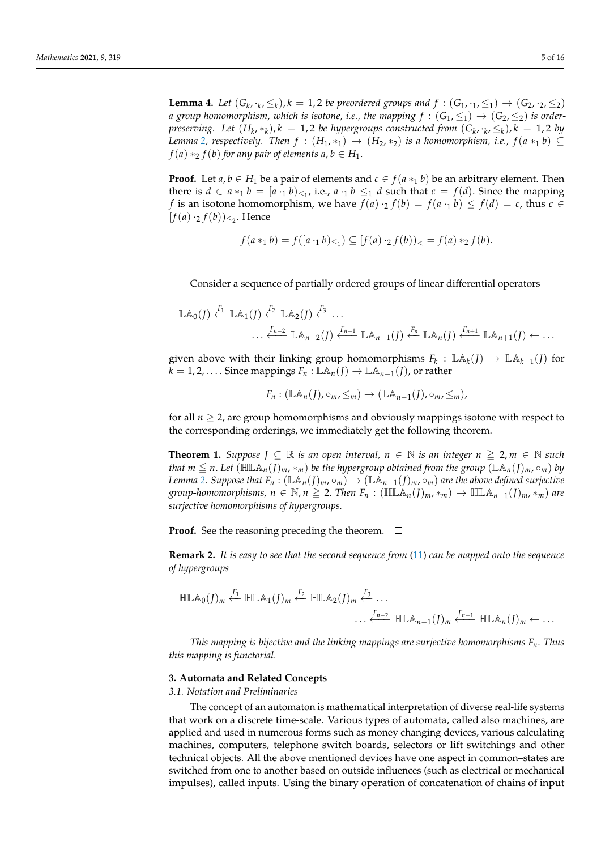<span id="page-4-0"></span>**Lemma 4.** Let  $(G_k, \cdot_k, \leq_k)$ ,  $k = 1, 2$  be preordered groups and  $f : (G_1, \cdot_1, \leq_1) \to (G_2, \cdot_2, \leq_2)$ *a group homomorphism, which is isotone, i.e., the mapping*  $f : (G_1, \leq_1) \rightarrow (G_2, \leq_2)$  *is orderpreserving.* Let  $(H_k, *_{k})$ ,  $k = 1, 2$  be hypergroups constructed from  $(G_k, \cdot_k, \leq_k)$ ,  $k = 1, 2$  by *Lemma* [2,](#page-2-3) *respectively.* Then  $f : (H_1, *_1) \rightarrow (H_2, *_2)$  *is a homomorphism, i.e.,*  $f(a *_1 b) \subseteq$  $f(a) *_{2} f(b)$  *for any pair of elements a, b*  $\in$  *H*<sub>1</sub>.

**Proof.** Let *a*, *b* ∈ *H*<sub>1</sub> be a pair of elements and *c* ∈ *f*( $a$  ∗<sub>1</sub> *b*) be an arbitrary element. Then there is  $d \in a *_{1} b = [a \cdot_{1} b]_{\leq_{1}}$ , i.e.,  $a \cdot_{1} b \leq_{1} d$  such that  $c = f(d)$ . Since the mapping *f* is an isotone homomorphism, we have  $f(a) \cdot_2 f(b) = f(a \cdot_1 b) \le f(a) = c$ , thus  $c \in$  $[f(a) \cdot_2 f(b)] \leq_2$ . Hence

$$
f(a *_{1} b) = f([a \cdot_{1} b)_{\leq_{1}}) \subseteq [f(a) \cdot_{2} f(b))_{\leq} = f(a) *_{2} f(b).
$$

 $\Box$ 

Consider a sequence of partially ordered groups of linear differential operators

$$
\mathbb{L}\mathbb{A}_0(J) \xleftarrow{F_1} \mathbb{L}\mathbb{A}_1(J) \xleftarrow{F_2} \mathbb{L}\mathbb{A}_2(J) \xleftarrow{F_3} \cdots
$$

$$
\cdots \xleftarrow{F_{n-2}} \mathbb{L}\mathbb{A}_{n-2}(J) \xleftarrow{F_{n-1}} \mathbb{L}\mathbb{A}_{n-1}(J) \xleftarrow{F_n} \mathbb{L}\mathbb{A}_n(J) \xleftarrow{F_{n+1}} \mathbb{L}\mathbb{A}_{n+1}(J) \leftarrow \cdots
$$

given above with their linking group homomorphisms  $F_k$ : LA<sub>k</sub>(*J*)  $\rightarrow$  LA<sub>k-1</sub>(*J*) for  $k = 1, 2, \ldots$  Since mappings  $F_n : \mathbb{L}\mathbb{A}_n(f) \to \mathbb{L}\mathbb{A}_{n-1}(f)$ , or rather

$$
F_n : (\mathbb{L}\mathbb{A}_n(J), \circ_m, \leq_m) \to (\mathbb{L}\mathbb{A}_{n-1}(J), \circ_m, \leq_m),
$$

for all  $n \geq 2$ , are group homomorphisms and obviously mappings isotone with respect to the corresponding orderings, we immediately get the following theorem.

**Theorem 1.** *Suppose*  $\overline{f} \subseteq \mathbb{R}$  *is an open interval,*  $n \in \mathbb{N}$  *is an integer*  $n \geq 2, m \in \mathbb{N}$  *such that*  $m \leq n$ . Let ( $\mathbb{HLA}_n(J)_m$ ,  $*_m$ ) *be the hypergroup obtained from the group* ( $\mathbb{LA}_n(J)_m$ ,  $\circ_m$ ) *by Lemma* [2.](#page-2-3) Suppose that  $F_n : (\mathbb{L}A_n(f)_m, \circ_m) \to (\mathbb{L}A_{n-1}(f)_m, \circ_m)$  are the above defined surjective *group-homomorphisms,*  $n \in \mathbb{N}$ ,  $n \geq 2$ . *Then*  $F_n : (\mathbb{HLA}_n(f)_{m}, *_{m}) \to \mathbb{HLA}_{n-1}(f)_{m}, *_{m})$  are *surjective homomorphisms of hypergroups.*

## **Proof.** See the reasoning preceding the theorem.  $\Box$

**Remark 2.** *It is easy to see that the second sequence from* [\(11\)](#page-3-2) *can be mapped onto the sequence of hypergroups*

$$
\mathbb{HLA}_0(J)_m \stackrel{F_1}{\leftarrow} \mathbb{HLA}_1(J)_m \stackrel{F_2}{\leftarrow} \mathbb{HLA}_2(J)_m \stackrel{F_3}{\leftarrow} \dots
$$
  

$$
\dots \stackrel{F_{n-2}}{\leftarrow} \mathbb{HLA}_{n-1}(J)_m \stackrel{F_{n-1}}{\leftarrow} \mathbb{HLA}_n(J)_m \leftarrow \dots
$$

*This mapping is bijective and the linking mappings are surjective homomorphisms Fn. Thus this mapping is functorial.*

## **3. Automata and Related Concepts**

#### *3.1. Notation and Preliminaries*

The concept of an automaton is mathematical interpretation of diverse real-life systems that work on a discrete time-scale. Various types of automata, called also machines, are applied and used in numerous forms such as money changing devices, various calculating machines, computers, telephone switch boards, selectors or lift switchings and other technical objects. All the above mentioned devices have one aspect in common–states are switched from one to another based on outside influences (such as electrical or mechanical impulses), called inputs. Using the binary operation of concatenation of chains of input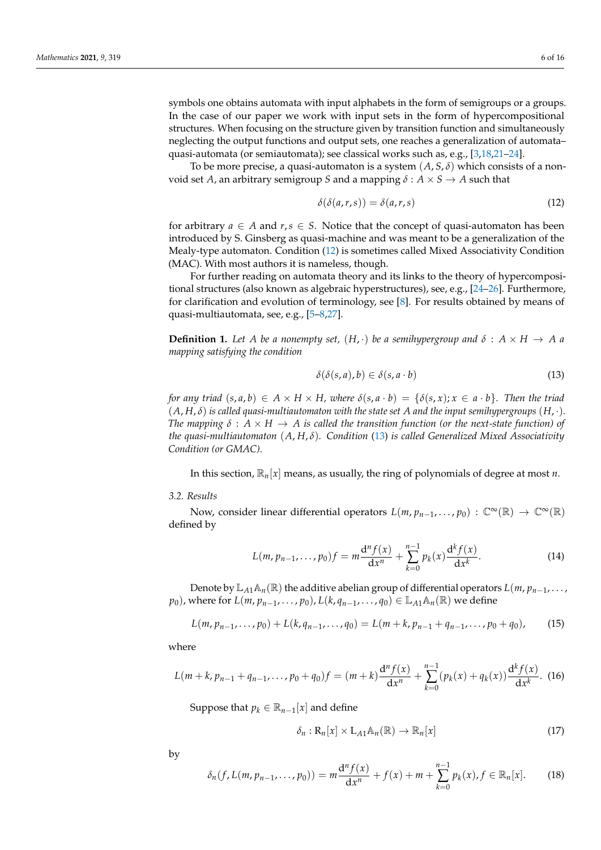symbols one obtains automata with input alphabets in the form of semigroups or a groups. In the case of our paper we work with input sets in the form of hypercompositional structures. When focusing on the structure given by transition function and simultaneously neglecting the output functions and output sets, one reaches a generalization of automata– quasi-automata (or semiautomata); see classical works such as, e.g., [\[3](#page-14-11)[,18](#page-15-0)[,21](#page-15-2)[–24\]](#page-15-3).

To be more precise, a quasi-automaton is a system  $(A, S, \delta)$  which consists of a nonvoid set *A*, an arbitrary semigroup *S* and a mapping  $\delta$  :  $A \times S \rightarrow A$  such that

<span id="page-5-0"></span>
$$
\delta(\delta(a,r,s)) = \delta(a,r,s) \tag{12}
$$

for arbitrary  $a \in A$  and  $r, s \in S$ . Notice that the concept of quasi-automaton has been introduced by S. Ginsberg as quasi-machine and was meant to be a generalization of the Mealy-type automaton. Condition [\(12\)](#page-5-0) is sometimes called Mixed Associativity Condition (MAC). With most authors it is nameless, though.

For further reading on automata theory and its links to the theory of hypercompositional structures (also known as algebraic hyperstructures), see, e.g., [\[24–](#page-15-3)[26\]](#page-15-4). Furthermore, for clarification and evolution of terminology, see [\[8\]](#page-14-4). For results obtained by means of quasi-multiautomata, see, e.g., [\[5–](#page-14-3)[8](#page-14-4)[,27\]](#page-15-5).

**Definition 1.** Let A be a nonempty set,  $(H, \cdot)$  be a semihypergroup and  $\delta : A \times H \rightarrow A$  a *mapping satisfying the condition*

<span id="page-5-1"></span>
$$
\delta(\delta(s,a),b) \in \delta(s,a \cdot b)
$$
\n(13)

*for any triad*  $(s, a, b) \in A \times H \times H$ , where  $\delta(s, a \cdot b) = \{\delta(s, x); x \in a \cdot b\}$ . Then the triad  $(A, H, \delta)$  is called quasi-multiautomaton with the state set A and the input semihypergroups  $(H, \cdot)$ *. The mapping*  $\delta$  :  $A \times H \rightarrow A$  *is called the transition function (or the next-state function) of the quasi-multiautomaton* (*A*, *H*, *δ*)*. Condition* [\(13\)](#page-5-1) *is called Generalized Mixed Associativity Condition (or GMAC).*

In this section,  $\mathbb{R}_n[x]$  means, as usually, the ring of polynomials of degree at most *n*.

*3.2. Results*

Now, consider linear differential operators  $L(m, p_{n-1}, \ldots, p_0) : \mathbb{C}^{\infty}(\mathbb{R}) \to \mathbb{C}^{\infty}(\mathbb{R})$ defined by

$$
L(m, p_{n-1}, \dots, p_0) f = m \frac{d^n f(x)}{dx^n} + \sum_{k=0}^{n-1} p_k(x) \frac{d^k f(x)}{dx^k}.
$$
 (14)

Denote by  $\mathbb{L}_{A1} \mathbb{A}_n(\mathbb{R})$  the additive abelian group of differential operators  $L(m, p_{n-1}, \ldots, p_n)$ *p*<sub>0</sub>), where for  $L(m, p_{n-1}, \ldots, p_0)$ ,  $L(k, q_{n-1}, \ldots, q_0) \in \mathbb{L}_{A_1} \mathbb{A}_n(\mathbb{R})$  we define

$$
L(m, p_{n-1}, \ldots, p_0) + L(k, q_{n-1}, \ldots, q_0) = L(m+k, p_{n-1} + q_{n-1}, \ldots, p_0 + q_0), \qquad (15)
$$

where

$$
L(m+k, p_{n-1}+q_{n-1}, \ldots, p_0+q_0)f = (m+k)\frac{d^n f(x)}{dx^n} + \sum_{k=0}^{n-1} (p_k(x) + q_k(x))\frac{d^k f(x)}{dx^k}.
$$
 (16)

Suppose that  $p_k \in \mathbb{R}_{n-1}[x]$  and define

$$
\delta_n: \mathsf{R}_n[x] \times \mathsf{L}_{A1} \mathbb{A}_n(\mathbb{R}) \to \mathbb{R}_n[x] \tag{17}
$$

by

$$
\delta_n(f, L(m, p_{n-1}, \dots, p_0)) = m \frac{d^n f(x)}{dx^n} + f(x) + m + \sum_{k=0}^{n-1} p_k(x), f \in \mathbb{R}_n[x].
$$
 (18)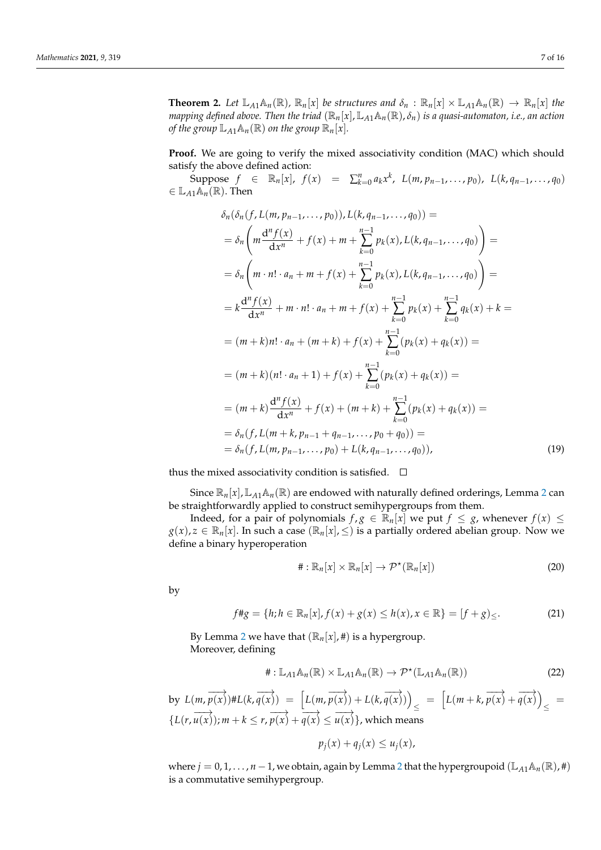**Theorem 2.** Let  $\mathbb{L}_{A1}\mathbb{A}_n(\mathbb{R})$ ,  $\mathbb{R}_n[x]$  be structures and  $\delta_n : \mathbb{R}_n[x] \times \mathbb{L}_{A1}\mathbb{A}_n(\mathbb{R}) \to \mathbb{R}_n[x]$  the *mapping defined above. Then the triad*  $(\mathbb{R}_n[x], \mathbb{L}_{A1} \mathbb{A}_n(\mathbb{R}), \delta_n)$  *is a quasi-automaton, i.e., an action of the group*  $\mathbb{L}_{A1} \mathbb{A}_n(\mathbb{R})$  *on the group*  $\mathbb{R}_n[x]$ *.* 

**Proof.** We are going to verify the mixed associativity condition (MAC) which should satisfy the above defined action:

Suppose  $f \in \mathbb{R}_n[x]$ ,  $f(x) = \sum_{k=0}^n a_k x^k$ ,  $L(m, p_{n-1},..., p_0)$ ,  $L(k, q_{n-1},..., q_0)$  $\in$  L<sub>A1</sub> $\mathbb{A}_n(\mathbb{R})$ . Then

$$
\delta_n(\delta_n(f, L(m, p_{n-1},..., p_0)), L(k, q_{n-1},..., q_0)) =
$$
\n
$$
= \delta_n\left(m\frac{d^n f(x)}{dx^n} + f(x) + m + \sum_{k=0}^{n-1} p_k(x), L(k, q_{n-1},..., q_0)\right) =
$$
\n
$$
= \delta_n\left(m \cdot n! \cdot a_n + m + f(x) + \sum_{k=0}^{n-1} p_k(x), L(k, q_{n-1},..., q_0)\right) =
$$
\n
$$
= k\frac{d^n f(x)}{dx^n} + m \cdot n! \cdot a_n + m + f(x) + \sum_{k=0}^{n-1} p_k(x) + \sum_{k=0}^{n-1} q_k(x) + k =
$$
\n
$$
= (m + k)n! \cdot a_n + (m + k) + f(x) + \sum_{k=0}^{n-1} (p_k(x) + q_k(x)) =
$$
\n
$$
= (m + k)(n! \cdot a_n + 1) + f(x) + \sum_{k=0}^{n-1} (p_k(x) + q_k(x)) =
$$
\n
$$
= (m + k)\frac{d^n f(x)}{dx^n} + f(x) + (m + k) + \sum_{k=0}^{n-1} (p_k(x) + q_k(x)) =
$$
\n
$$
= \delta_n(f, L(m + k, p_{n-1} + q_{n-1},..., p_0 + q_0)) =
$$
\n
$$
= \delta_n(f, L(m, p_{n-1},..., p_0) + L(k, q_{n-1},..., q_0)), \qquad (19)
$$

thus the mixed associativity condition is satisfied.  $\square$ 

Since  $\mathbb{R}_n[x]$ ,  $\mathbb{L}_{A1} \mathbb{A}_n(\mathbb{R})$  are endowed with naturally defined orderings, Lemma [2](#page-2-3) can be straightforwardly applied to construct semihypergroups from them.

Indeed, for a pair of polynomials  $f, g \in \mathbb{R}_n[x]$  we put  $f \leq g$ , whenever  $f(x) \leq f(x)$  $g(x), z \in \mathbb{R}_n[x]$ . In such a case  $(\mathbb{R}_n[x], \leq)$  is a partially ordered abelian group. Now we define a binary hyperoperation

$$
\# : \mathbb{R}_n[x] \times \mathbb{R}_n[x] \to \mathcal{P}^{\star}(\mathbb{R}_n[x]) \tag{20}
$$

by

$$
f \# g = \{h; h \in \mathbb{R}_n[x], f(x) + g(x) \le h(x), x \in \mathbb{R}\} = [f + g]_{\leq}.
$$
 (21)

By Lemma [2](#page-2-3) we have that  $(\mathbb{R}_n[x], \#)$  is a hypergroup. Moreover, defining

$$
\# : \mathbb{L}_{A1} \mathbb{A}_n(\mathbb{R}) \times \mathbb{L}_{A1} \mathbb{A}_n(\mathbb{R}) \to \mathcal{P}^{\star}(\mathbb{L}_{A1} \mathbb{A}_n(\mathbb{R})) \tag{22}
$$

by 
$$
L(m, \overrightarrow{p(x)}) \# L(k, \overrightarrow{q(x)}) = \left[ L(m, \overrightarrow{p(x)}) + L(k, \overrightarrow{q(x)}) \right]_{\leq} = \left[ L(m + k, \overrightarrow{p(x)} + \overrightarrow{q(x)}) \right]_{\leq} = \left\{ L(r, \overrightarrow{u(x)}); m + k \leq r, \overrightarrow{p(x)} + \overrightarrow{q(x)} \leq \overrightarrow{u(x)} \right\}
$$
, which means

$$
p_j(x) + q_j(x) \le u_j(x),
$$

where  $j = 0, 1, \ldots, n-1$ , we obtain, again by Lemma [2](#page-2-3) that the hypergroupoid  $(\mathbb{L}_{A1} \mathbb{A}_n(\mathbb{R}), \#)$ is a commutative semihypergroup.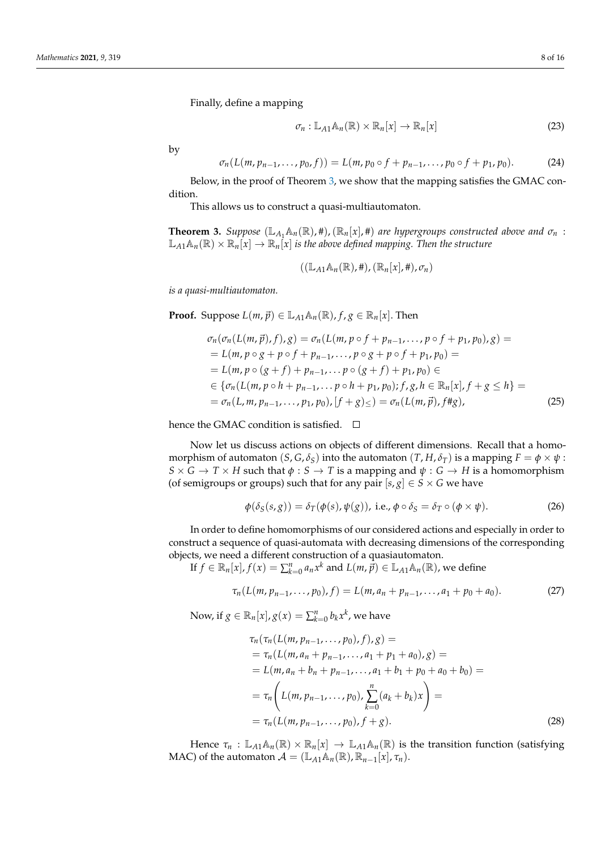Finally, define a mapping

$$
\sigma_n: \mathbb{L}_{A1} \mathbb{A}_n(\mathbb{R}) \times \mathbb{R}_n[x] \to \mathbb{R}_n[x]
$$
 (23)

by

$$
\sigma_n(L(m, p_{n-1}, \ldots, p_0, f)) = L(m, p_0 \circ f + p_{n-1}, \ldots, p_0 \circ f + p_1, p_0).
$$
 (24)

Below, in the proof of Theorem [3,](#page-7-0) we show that the mapping satisfies the GMAC condition.

This allows us to construct a quasi-multiautomaton.

<span id="page-7-0"></span>**Theorem 3.** *Suppose*  $(\mathbb{L}_{A_1} \mathbb{A}_n(\mathbb{R}), \#)$ ,  $(\mathbb{R}_n[x], \#)$  *are hypergroups constructed above and*  $\sigma_n$ :  $\mathbb{L}_{A1}\mathbb{A}_n(\mathbb{R}) \times \mathbb{R}_n[x] \to \mathbb{R}_n[x]$  *is the above defined mapping. Then the structure* 

$$
((\mathbb{L}_{A1}\mathbb{A}_n(\mathbb{R}),\#),(\mathbb{R}_n[x],\#),\sigma_n)
$$

*is a quasi-multiautomaton.*

**Proof.** Suppose  $L(m, \vec{p}) \in \mathbb{L}_{A1} \mathbb{A}_n(\mathbb{R})$ ,  $f, g \in \mathbb{R}_n[x]$ . Then

$$
\sigma_n(\sigma_n(L(m, \vec{p}), f), g) = \sigma_n(L(m, p \circ f + p_{n-1}, \dots, p \circ f + p_1, p_0), g) =
$$
  
= L(m, p \circ g + p \circ f + p\_{n-1}, \dots, p \circ g + p \circ f + p\_1, p\_0) =  
= L(m, p \circ (g + f) + p\_{n-1}, \dots, p \circ (g + f) + p\_1, p\_0) \in  

$$
\in \{\sigma_n(L(m, p \circ h + p_{n-1}, \dots, p \circ h + p_1, p_0); f, g, h \in \mathbb{R}_n[x], f + g \le h\} =
$$

$$
= \sigma_n(L, m, p_{n-1}, \dots, p_1, p_0), [f + g] \leq \sigma_n(L(m, \vec{p}), ffg), \tag{25}
$$

hence the GMAC condition is satisfied.  $\square$ 

Now let us discuss actions on objects of different dimensions. Recall that a homomorphism of automaton  $(S, G, \delta_S)$  into the automaton  $(T, H, \delta_T)$  is a mapping  $F = \phi \times \psi$ :  $S \times G \to T \times H$  such that  $\phi : S \to T$  is a mapping and  $\psi : G \to H$  is a homomorphism (of semigroups or groups) such that for any pair  $[s, g] \in S \times G$  we have

$$
\phi(\delta_S(s,g)) = \delta_T(\phi(s), \psi(g)), \text{ i.e., } \phi \circ \delta_S = \delta_T \circ (\phi \times \psi).
$$
 (26)

In order to define homomorphisms of our considered actions and especially in order to construct a sequence of quasi-automata with decreasing dimensions of the corresponding objects, we need a different construction of a quasiautomaton.

If  $f \in \mathbb{R}_n[x]$ ,  $f(x) = \sum_{k=0}^n a_n x^k$  and  $L(m, \vec{p}) \in \mathbb{L}_{A1} \mathbb{A}_n(\mathbb{R})$ , we define

$$
\tau_n(L(m, p_{n-1}, \ldots, p_0), f) = L(m, a_n + p_{n-1}, \ldots, a_1 + p_0 + a_0).
$$
 (27)

Now, if  $g \in \mathbb{R}_n[x]$ ,  $g(x) = \sum_{k=0}^n b_k x^k$ , we have

$$
\tau_n(\tau_n(L(m, p_{n-1}, \ldots, p_0), f), g) =
$$
\n
$$
= \tau_n(L(m, a_n + p_{n-1}, \ldots, a_1 + p_1 + a_0), g) =
$$
\n
$$
= L(m, a_n + b_n + p_{n-1}, \ldots, a_1 + b_1 + p_0 + a_0 + b_0) =
$$
\n
$$
= \tau_n(L(m, p_{n-1}, \ldots, p_0), \sum_{k=0}^n (a_k + b_k)x) =
$$
\n
$$
= \tau_n(L(m, p_{n-1}, \ldots, p_0), f + g).
$$
\n(28)

Hence  $\tau_n$ :  $\mathbb{L}_{A1} \mathbb{A}_n(\mathbb{R}) \times \mathbb{R}_n[x] \to \mathbb{L}_{A1} \mathbb{A}_n(\mathbb{R})$  is the transition function (satisfying MAC) of the automaton  $A = (\mathbb{L}_{A1} \mathbb{A}_n(\mathbb{R}), \mathbb{R}_{n-1}[x], \tau_n)$ .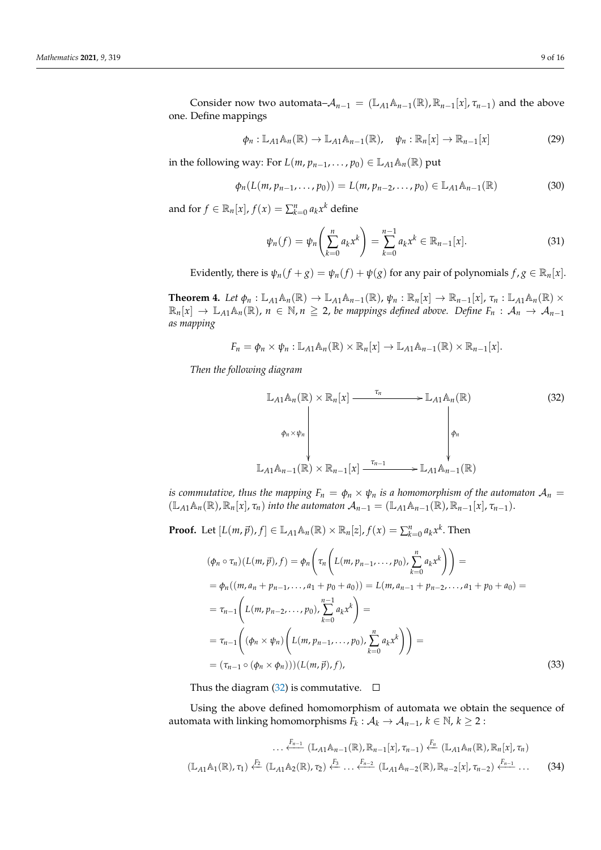Consider now two automata– $A_{n-1} = (\mathbb{L}_{A1} \mathbb{A}_{n-1}(\mathbb{R}), \mathbb{R}_{n-1}[x], \tau_{n-1})$  and the above one. Define mappings

$$
\phi_n: \mathbb{L}_{A1} \mathbb{A}_n(\mathbb{R}) \to \mathbb{L}_{A1} \mathbb{A}_{n-1}(\mathbb{R}), \quad \psi_n: \mathbb{R}_n[x] \to \mathbb{R}_{n-1}[x]
$$
 (29)

in the following way: For  $L(m, p_{n-1}, \ldots, p_0) \in \mathbb{L}_{A1} \mathbb{A}_n(\mathbb{R})$  put

$$
\phi_n(L(m, p_{n-1}, \dots, p_0)) = L(m, p_{n-2}, \dots, p_0) \in \mathbb{L}_{A1} \mathbb{A}_{n-1}(\mathbb{R})
$$
\n(30)

and for  $f \in \mathbb{R}_n[x]$ ,  $f(x) = \sum_{k=0}^n a_k x^k$  define

$$
\psi_n(f) = \psi_n\left(\sum_{k=0}^n a_k x^k\right) = \sum_{k=0}^{n-1} a_k x^k \in \mathbb{R}_{n-1}[x].
$$
\n(31)

Evidently, there is  $\psi_n(f+g) = \psi_n(f) + \psi(g)$  for any pair of polynomials  $f, g \in \mathbb{R}_n[x]$ .

**Theorem 4.** Let  $\phi_n : \mathbb{L}_{A1} \mathbb{A}_n(\mathbb{R}) \to \mathbb{L}_{A1} \mathbb{A}_{n-1}(\mathbb{R})$ ,  $\psi_n : \mathbb{R}_n[x] \to \mathbb{R}_{n-1}[x]$ ,  $\tau_n : \mathbb{L}_{A1} \mathbb{A}_n(\mathbb{R}) \times$  $\mathbb{R}_n[x] \to \mathbb{L}_{A1} \mathbb{A}_n(\mathbb{R})$ ,  $n \in \mathbb{N}$ ,  $n \geq 2$ , be mappings defined above. Define  $F_n : \mathcal{A}_n \to \mathcal{A}_{n-1}$ *as mapping*

$$
F_n = \phi_n \times \psi_n : \mathbb{L}_{A1} \mathbb{A}_n(\mathbb{R}) \times \mathbb{R}_n[x] \to \mathbb{L}_{A1} \mathbb{A}_{n-1}(\mathbb{R}) \times \mathbb{R}_{n-1}[x].
$$

*Then the following diagram*

<span id="page-8-0"></span>
$$
\mathbb{L}_{A1}\mathbb{A}_n(\mathbb{R}) \times \mathbb{R}_n[x] \xrightarrow{\tau_n} \mathbb{L}_{A1}\mathbb{A}_n(\mathbb{R})
$$
\n
$$
\phi_n \times \psi_n \downarrow \phi_n
$$
\n
$$
\mathbb{L}_{A1}\mathbb{A}_{n-1}(\mathbb{R}) \times \mathbb{R}_{n-1}[x] \xrightarrow{\tau_{n-1}} \mathbb{L}_{A1}\mathbb{A}_{n-1}(\mathbb{R})
$$
\n(32)

*is commutative, thus the mapping*  $F_n = \phi_n \times \psi_n$  *is a homomorphism of the automaton*  $A_n =$  $(\mathbb{L}_{A1} \mathbb{A}_n(\mathbb{R}), \mathbb{R}_n[x], \tau_n)$  *into the automaton*  $\mathcal{A}_{n-1} = (\mathbb{L}_{A1} \mathbb{A}_{n-1}(\mathbb{R}), \mathbb{R}_{n-1}[x], \tau_{n-1}).$ 

**Proof.** Let  $[L(m,\vec{p}), f] \in \mathbb{L}_{A1} \mathbb{A}_n(\mathbb{R}) \times \mathbb{R}_n[z], f(x) = \sum_{k=0}^n a_k x^k$ . Then

$$
(\phi_n \circ \tau_n)(L(m, \vec{p}), f) = \phi_n\left(\tau_n\left(L(m, p_{n-1}, \dots, p_0), \sum_{k=0}^n a_k x^k\right)\right) =
$$
  
\n
$$
= \phi_n((m, a_n + p_{n-1}, \dots, a_1 + p_0 + a_0)) = L(m, a_{n-1} + p_{n-2}, \dots, a_1 + p_0 + a_0) =
$$
  
\n
$$
= \tau_{n-1}\left(L(m, p_{n-2}, \dots, p_0), \sum_{k=0}^{n-1} a_k x^k\right) =
$$
  
\n
$$
= \tau_{n-1}\left((\phi_n \times \psi_n)\left(L(m, p_{n-1}, \dots, p_0), \sum_{k=0}^n a_k x^k\right)\right) =
$$
  
\n
$$
= (\tau_{n-1} \circ (\phi_n \times \phi_n)))(L(m, \vec{p}), f), \tag{33}
$$

Thus the diagram [\(32\)](#page-8-0) is commutative.  $\square$ 

Using the above defined homomorphism of automata we obtain the sequence of automata with linking homomorphisms  $\tilde{F}_k: \mathcal{A}_k \to \mathcal{A}_{n-1}$ ,  $k \in \mathbb{N}$ ,  $k \geq 2$  :

$$
\dots \xleftarrow{\mathcal{F}_{n-1}} (\mathbb{L}_{A1} \mathbb{A}_{n-1}(\mathbb{R}), \mathbb{R}_{n-1}[x], \tau_{n-1}) \xleftarrow{\mathcal{F}_{n}} (\mathbb{L}_{A1} \mathbb{A}_{n}(\mathbb{R}), \mathbb{R}_{n}[x], \tau_{n})
$$
  

$$
(\mathbb{L}_{A1} \mathbb{A}_{1}(\mathbb{R}), \tau_{1}) \xleftarrow{\mathcal{F}_{2}} (\mathbb{L}_{A1} \mathbb{A}_{2}(\mathbb{R}), \tau_{2}) \xleftarrow{\mathcal{F}_{3}} \dots \xleftarrow{\mathcal{F}_{n-2}} (\mathbb{L}_{A1} \mathbb{A}_{n-2}(\mathbb{R}), \mathbb{R}_{n-2}[x], \tau_{n-2}) \xleftarrow{\mathcal{F}_{n-1}} \dots
$$
 (34)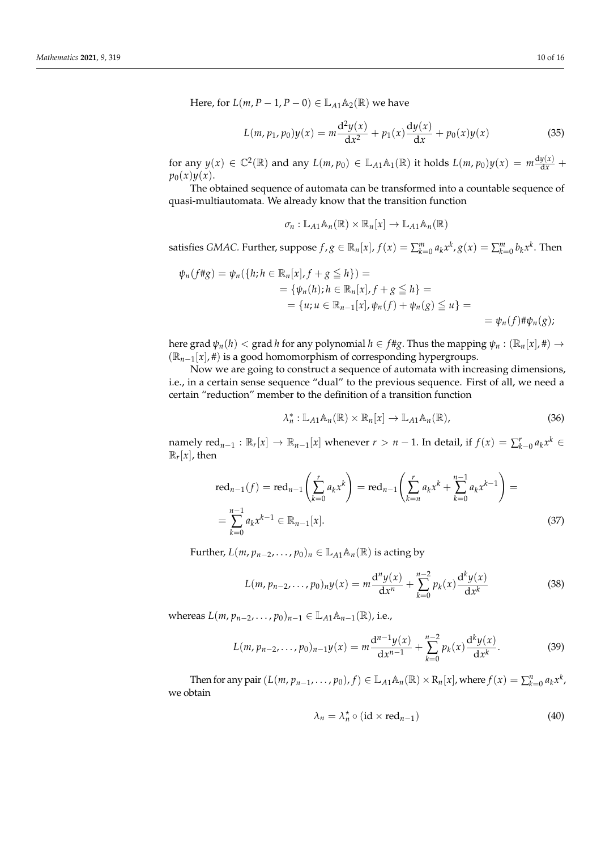Here, for  $L(m, P - 1, P - 0) \in \mathbb{L}_{A1} \mathbb{A}_2(\mathbb{R})$  we have

$$
L(m, p_1, p_0)y(x) = m\frac{d^2y(x)}{dx^2} + p_1(x)\frac{dy(x)}{dx} + p_0(x)y(x)
$$
 (35)

for any  $y(x) \in \mathbb{C}^2(\mathbb{R})$  and any  $L(m, p_0) \in \mathbb{L}_{A1}\mathbb{A}_1(\mathbb{R})$  it holds  $L(m, p_0)y(x) = m \frac{dy(x)}{dx} +$  $p_0(x)y(x)$ .

The obtained sequence of automata can be transformed into a countable sequence of quasi-multiautomata. We already know that the transition function

$$
\sigma_n : \mathbb{L}_{A1} \mathbb{A}_n(\mathbb{R}) \times \mathbb{R}_n[x] \to \mathbb{L}_{A1} \mathbb{A}_n(\mathbb{R})
$$

satisfies GMAC. Further, suppose  $f,g \in \mathbb{R}_n[x]$ ,  $f(x) = \sum_{k=0}^m a_k x^k$ ,  $g(x) = \sum_{k=0}^m b_k x^k$ . Then

$$
\psi_n(f \# g) = \psi_n(\{h; h \in \mathbb{R}_n[x], f + g \le h\}) =
$$
  
=  $\{\psi_n(h); h \in \mathbb{R}_n[x], f + g \le h\} =$   
=  $\{u; u \in \mathbb{R}_{n-1}[x], \psi_n(f) + \psi_n(g) \le u\} =$   
=  $\psi_n(f) \# \psi_n(g);$ 

here grad  $\psi_n(h) <$  grad *h* for any polynomial  $h \in f \# g$ . Thus the mapping  $\psi_n : (\mathbb{R}_n[x], \#) \to$ (R*n*−1[*x*], #) is a good homomorphism of corresponding hypergroups.

Now we are going to construct a sequence of automata with increasing dimensions, i.e., in a certain sense sequence "dual" to the previous sequence. First of all, we need a certain "reduction" member to the definition of a transition function

$$
\lambda_n^*: \mathbb{L}_{A1} \mathbb{A}_n(\mathbb{R}) \times \mathbb{R}_n[x] \to \mathbb{L}_{A1} \mathbb{A}_n(\mathbb{R}), \tag{36}
$$

namely  $\text{red}_{n-1} : \mathbb{R}_r[x] \to \mathbb{R}_{n-1}[x]$  whenever  $r > n-1$ . In detail, if  $f(x) = \sum_{k=0}^r a_k x^k \in$  $\mathbb{R}_r[x]$ , then

$$
\operatorname{red}_{n-1}(f) = \operatorname{red}_{n-1}\left(\sum_{k=0}^{r} a_k x^k\right) = \operatorname{red}_{n-1}\left(\sum_{k=n}^{r} a_k x^k + \sum_{k=0}^{n-1} a_k x^{k-1}\right) =
$$
  
= 
$$
\sum_{k=0}^{n-1} a_k x^{k-1} \in \mathbb{R}_{n-1}[x].
$$
 (37)

Further,  $L(m, p_{n-2}, \ldots, p_0)_n \in \mathbb{L}_{A1} \mathbb{A}_n(\mathbb{R})$  is acting by

$$
L(m, p_{n-2}, \dots, p_0)_n y(x) = m \frac{d^n y(x)}{dx^n} + \sum_{k=0}^{n-2} p_k(x) \frac{d^k y(x)}{dx^k}
$$
(38)

whereas  $L(m, p_{n-2}, \ldots, p_0)_{n-1}$  ∈  $\mathbb{L}_{A1}$  A<sub>*n*−1</sub>(ℝ), i.e.,

$$
L(m, p_{n-2}, \dots, p_0)_{n-1} y(x) = m \frac{d^{n-1} y(x)}{dx^{n-1}} + \sum_{k=0}^{n-2} p_k(x) \frac{d^k y(x)}{dx^k}.
$$
 (39)

Then for any pair  $(L(m, p_{n-1}, \ldots, p_0), f) \in \mathbb{L}_{A1} \mathbb{A}_n(\mathbb{R}) \times \mathbb{R}_n[x]$ , where  $f(x) = \sum_{k=0}^n a_k x^k$ , we obtain

$$
\lambda_n = \lambda_n^* \circ (\text{id} \times \text{red}_{n-1}) \tag{40}
$$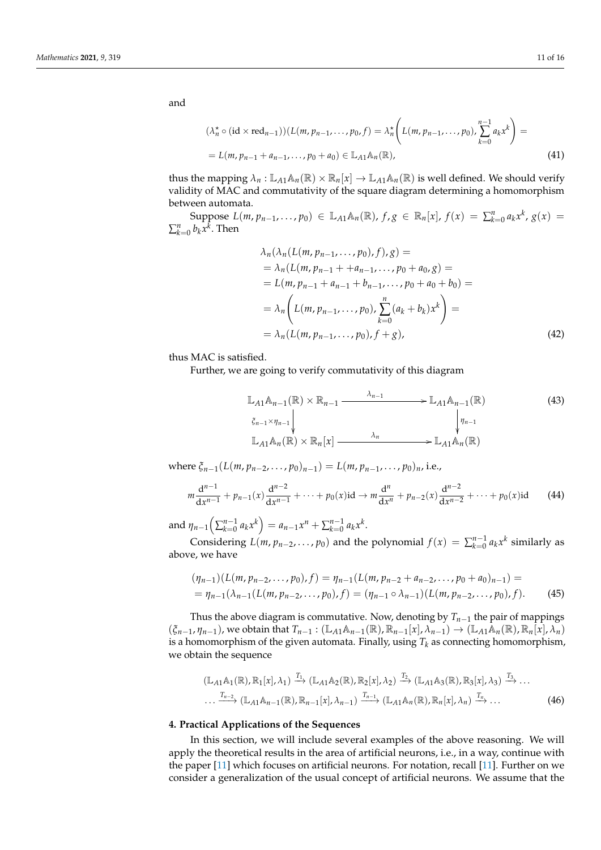and

$$
(\lambda_n^* \circ (\mathrm{id} \times \mathrm{red}_{n-1})) (L(m, p_{n-1}, \dots, p_0, f) = \lambda_n^* \left( L(m, p_{n-1}, \dots, p_0), \sum_{k=0}^{n-1} a_k x^k \right) =
$$
  
=  $L(m, p_{n-1} + a_{n-1}, \dots, p_0 + a_0) \in \mathbb{L}_{A1} \mathbb{A}_n(\mathbb{R}),$  (41)

thus the mapping  $\lambda_n : \mathbb{L}_{A1} \mathbb{A}_n(\mathbb{R}) \times \mathbb{R}_n[x] \to \mathbb{L}_{A1} \mathbb{A}_n(\mathbb{R})$  is well defined. We should verify validity of MAC and commutativity of the square diagram determining a homomorphism between automata.

Suppose  $L(m, p_{n-1},..., p_0) \in \mathbb{L}_{A1} \mathbb{A}_n(\mathbb{R})$ ,  $f, g \in \mathbb{R}_n[x]$ ,  $f(x) = \sum_{k=0}^n a_k x^k$ ,  $g(x) =$  $\sum_{k=0}^{n} b_k x^k$ . Then

$$
\lambda_n(\lambda_n(L(m, p_{n-1}, \ldots, p_0), f), g) =
$$
\n
$$
= \lambda_n(L(m, p_{n-1} + + a_{n-1}, \ldots, p_0 + a_0, g)) =
$$
\n
$$
= L(m, p_{n-1} + a_{n-1} + b_{n-1}, \ldots, p_0 + a_0 + b_0) =
$$
\n
$$
= \lambda_n(L(m, p_{n-1}, \ldots, p_0), \sum_{k=0}^n (a_k + b_k) x^k) =
$$
\n
$$
= \lambda_n(L(m, p_{n-1}, \ldots, p_0), f + g), \qquad (42)
$$

thus MAC is satisfied.

Further, we are going to verify commutativity of this diagram

$$
\mathbb{L}_{A1}\mathbb{A}_{n-1}(\mathbb{R}) \times \mathbb{R}_{n-1} \xrightarrow{\lambda_{n-1}} \mathbb{L}_{A1}\mathbb{A}_{n-1}(\mathbb{R})
$$
\n
$$
\begin{array}{ccc}\n\zeta_{n-1} \times \eta_{n-1} & & \\
\downarrow & & \\
\downarrow & & \\
\mathbb{L}_{A1}\mathbb{A}_n(\mathbb{R}) \times \mathbb{R}_n[x] & & \\
\downarrow & & \\
\downarrow & & \\
\downarrow & & \\
\downarrow & & \\
\downarrow & & \\
\downarrow & & \\
\downarrow & & \\
\downarrow & & \\
\downarrow & & \\
\downarrow & & \\
\downarrow & & \\
\downarrow & & \\
\downarrow & & \\
\downarrow & & \\
\downarrow & & \\
\downarrow & & \\
\downarrow & & \\
\downarrow & & \\
\downarrow & & \\
\downarrow & & \\
\downarrow & & \\
\downarrow & & \\
\downarrow & & \\
\downarrow & & \\
\downarrow & & \\
\downarrow & & \\
\downarrow & & \\
\downarrow & & \\
\downarrow & & \\
\downarrow & & \\
\downarrow & & \\
\downarrow & & \\
\downarrow & & \\
\downarrow & & \\
\downarrow & & \\
\downarrow & & \\
\downarrow & & \\
\downarrow & & \\
\downarrow & & \\
\downarrow & & \\
\downarrow & & \\
\downarrow & & \\
\downarrow & & \\
\downarrow & & \\
\downarrow & & \\
\downarrow & & \\
\downarrow & & \\
\downarrow & & \\
\downarrow & & \\
\downarrow & & \\
\downarrow & & \\
\downarrow & & \\
\downarrow & & \\
\downarrow & & \\
\downarrow & & \\
\downarrow & & \\
\downarrow & & \\
\downarrow & & \\
\downarrow & & \\
$$

where  $\xi_{n-1}(L(m, p_{n-2}, \ldots, p_0)_{n-1}) = L(m, p_{n-1}, \ldots, p_0)_{n},$  i.e.,

$$
m\frac{d^{n-1}}{dx^{n-1}} + p_{n-1}(x)\frac{d^{n-2}}{dx^{n-1}} + \cdots + p_0(x)id \to m\frac{d^n}{dx^n} + p_{n-2}(x)\frac{d^{n-2}}{dx^{n-2}} + \cdots + p_0(x)id
$$
 (44)

and  $\eta_{n-1} \left( \sum_{k=0}^{n-1} a_k x^k \right) = a_{n-1} x^n + \sum_{k=0}^{n-1} a_k x^k$ .

Considering  $L(m, p_{n-2}, \ldots, p_0)$  and the polynomial  $f(x) = \sum_{k=0}^{n-1} a_k x^k$  similarly as above, we have

$$
(\eta_{n-1})(L(m, p_{n-2}, ..., p_0), f) = \eta_{n-1}(L(m, p_{n-2} + a_{n-2}, ..., p_0 + a_0)_{n-1}) =
$$
  
=  $\eta_{n-1}(\lambda_{n-1}(L(m, p_{n-2}, ..., p_0), f)) = (\eta_{n-1} \circ \lambda_{n-1})(L(m, p_{n-2}, ..., p_0), f).$  (45)

Thus the above diagram is commutative. Now, denoting by  $T_{n-1}$  the pair of mappings  $(\xi_{n-1}, \eta_{n-1})$ , we obtain that  $T_{n-1} : (\mathbb{L}_{A1} \mathbb{A}_{n-1}(\mathbb{R}), \mathbb{R}_{n-1}[x], \lambda_{n-1}) \to (\mathbb{L}_{A1} \mathbb{A}_{n}(\mathbb{R}), \mathbb{R}_{n}[x], \lambda_{n})$ is a homomorphism of the given automata. Finally, using *T<sup>k</sup>* as connecting homomorphism, we obtain the sequence

$$
(\mathbb{L}_{A1}\mathbb{A}_1(\mathbb{R}), \mathbb{R}_1[x], \lambda_1) \xrightarrow{T_1} (\mathbb{L}_{A1}\mathbb{A}_2(\mathbb{R}), \mathbb{R}_2[x], \lambda_2) \xrightarrow{T_2} (\mathbb{L}_{A1}\mathbb{A}_3(\mathbb{R}), \mathbb{R}_3[x], \lambda_3) \xrightarrow{T_3} \dots
$$
  
...  $\xrightarrow{T_{n-2}} (\mathbb{L}_{A1}\mathbb{A}_{n-1}(\mathbb{R}), \mathbb{R}_{n-1}[x], \lambda_{n-1}) \xrightarrow{T_{n-1}} (\mathbb{L}_{A1}\mathbb{A}_n(\mathbb{R}), \mathbb{R}_n[x], \lambda_n) \xrightarrow{T_n} \dots$  (46)

#### **4. Practical Applications of the Sequences**

In this section, we will include several examples of the above reasoning. We will apply the theoretical results in the area of artificial neurons, i.e., in a way, continue with the paper [\[11\]](#page-14-7) which focuses on artificial neurons. For notation, recall [\[11\]](#page-14-7). Further on we consider a generalization of the usual concept of artificial neurons. We assume that the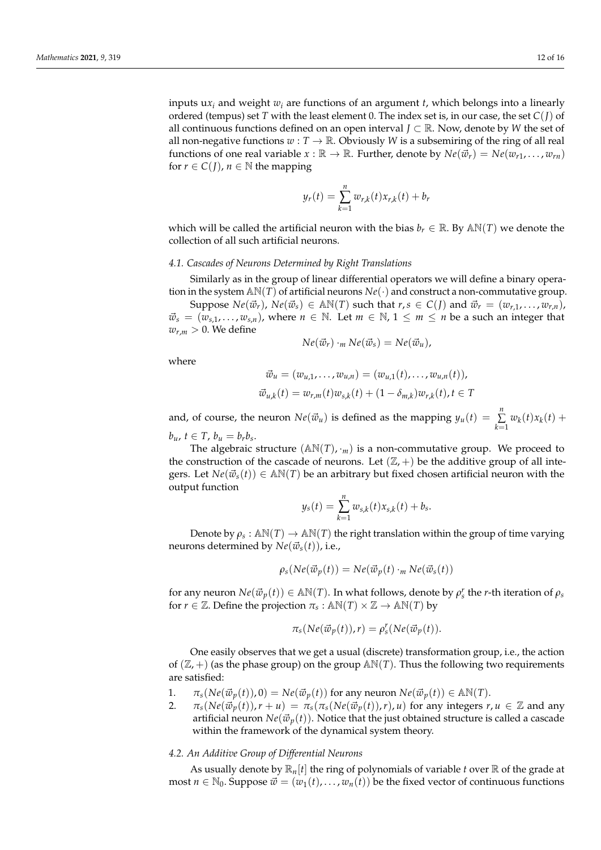inputs u*x<sup>i</sup>* and weight *w<sup>i</sup>* are functions of an argument *t*, which belongs into a linearly ordered (tempus) set *T* with the least element 0. The index set is, in our case, the set *C*(*J*) of all continuous functions defined on an open interval *J* ⊂ R. Now, denote by *W* the set of all non-negative functions  $w: T \to \mathbb{R}$ . Obviously *W* is a subsemiring of the ring of all real functions of one real variable  $x : \mathbb{R} \to \mathbb{R}$ . Further, denote by  $Ne(\vec{w}_r) = Ne(w_{r1}, \ldots, w_{rn})$ for  $r \in C(J)$ ,  $n \in \mathbb{N}$  the mapping

$$
y_r(t) = \sum_{k=1}^n w_{r,k}(t)x_{r,k}(t) + b_r
$$

which will be called the artificial neuron with the bias  $b_r \in \mathbb{R}$ . By  $\mathbb{AN}(T)$  we denote the collection of all such artificial neurons.

## *4.1. Cascades of Neurons Determined by Right Translations*

Similarly as in the group of linear differential operators we will define a binary operation in the system  $AN(T)$  of artificial neurons  $Ne(\cdot)$  and construct a non-commutative group.

Suppose  $Ne(\vec{w}_r)$ ,  $Ne(\vec{w}_s) \in AN(T)$  such that  $r, s \in C(I)$  and  $\vec{w}_r = (w_{r,1}, \ldots, w_{r,n})$ ,  $\vec{w}_s = (w_{s,1}, \ldots, w_{s,n})$ , where  $n \in \mathbb{N}$ . Let  $m \in \mathbb{N}$ ,  $1 \le m \le n$  be a such an integer that  $w_{r,m} > 0$ . We define

$$
Ne(\vec{w}_r) \cdot_m Ne(\vec{w}_s) = Ne(\vec{w}_u),
$$

where

$$
\vec{w}_u = (w_{u,1}, \dots, w_{u,n}) = (w_{u,1}(t), \dots, w_{u,n}(t)),
$$
  

$$
\vec{w}_{u,k}(t) = w_{r,m}(t)w_{s,k}(t) + (1 - \delta_{m,k})w_{r,k}(t), t \in T
$$

and, of course, the neuron  $Ne(\vec{w}_u)$  is defined as the mapping  $y_u(t) = \sum_{i=1}^{n}$  $\sum_{k=1}^{\infty} w_k(t) x_k(t) +$ 

 $b_{u}$ ,  $t \in T$ ,  $b_{u} = b_{r}b_{s}$ .

The algebraic structure  $(AN(T), \cdot_m)$  is a non-commutative group. We proceed to the construction of the cascade of neurons. Let  $(\mathbb{Z}, +)$  be the additive group of all integers. Let  $Ne(\vec{w}_s(t)) \in AN(T)$  be an arbitrary but fixed chosen artificial neuron with the output function

$$
y_s(t) = \sum_{k=1}^n w_{s,k}(t) x_{s,k}(t) + b_s.
$$

Denote by  $\rho_s : \mathbb{AN}(T) \to \mathbb{AN}(T)$  the right translation within the group of time varying neurons determined by  $Ne(\vec{w}_s(t))$ , i.e.,

$$
\rho_s(Ne(\vec{w}_p(t)) = Ne(\vec{w}_p(t) \cdot_m Ne(\vec{w}_s(t)))
$$

for any neuron  $Ne(\vec{w}_p(t)) \in AN(T)$ . In what follows, denote by  $\rho_s^r$  the *r*-th iteration of  $\rho_s$ for  $r \in \mathbb{Z}$ . Define the projection  $\pi_s : \mathbb{AN}(T) \times \mathbb{Z} \to \mathbb{AN}(T)$  by

$$
\pi_s(Ne(\vec{w}_p(t)),r)=\rho_s^r(Ne(\vec{w}_p(t))).
$$

One easily observes that we get a usual (discrete) transformation group, i.e., the action of  $(\mathbb{Z}, +)$  (as the phase group) on the group  $\mathbb{AN}(T)$ . Thus the following two requirements are satisfied:

1.  $\pi_s(Ne(\vec{w}_p(t)), 0) = Ne(\vec{w}_p(t))$  for any neuron  $Ne(\vec{w}_p(t)) \in AN(T)$ .

2.  $\pi_s(Ne(\vec{w}_p(t)), r + u) = \pi_s(\pi_s(Ne(\vec{w}_p(t)), r), u)$  for any integers  $r, u \in \mathbb{Z}$  and any artificial neuron  $Ne(\vec{w}_p(t))$ . Notice that the just obtained structure is called a cascade within the framework of the dynamical system theory.

#### *4.2. An Additive Group of Differential Neurons*

As usually denote by  $\mathbb{R}_n[t]$  the ring of polynomials of variable *t* over  $\mathbb{R}$  of the grade at most  $n \in \mathbb{N}_0$ . Suppose  $\vec{w} = (w_1(t), \dots, w_n(t))$  be the fixed vector of continuous functions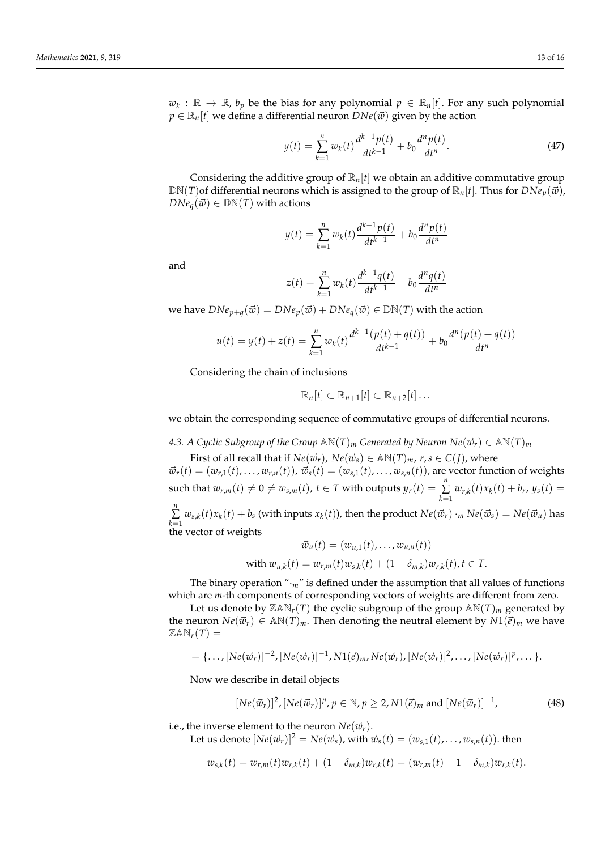$w_k$ :  $\mathbb{R} \to \mathbb{R}$ ,  $b_p$  be the bias for any polynomial  $p \in \mathbb{R}_n[t]$ . For any such polynomial  $p \in \mathbb{R}_n[t]$  we define a differential neuron  $DNe(\vec{w})$  given by the action

$$
y(t) = \sum_{k=1}^{n} w_k(t) \frac{d^{k-1}p(t)}{dt^{k-1}} + b_0 \frac{d^n p(t)}{dt^n}.
$$
 (47)

Considering the additive group of  $\mathbb{R}_n[t]$  we obtain an additive commutative group  $\mathbb{DN}(T)$ of differential neurons which is assigned to the group of  $\mathbb{R}_n[t]$ . Thus for  $DNe_p(\vec{w})$ ,  $DNe_q(\vec{w}) \in \mathbb{DN}(T)$  with actions

$$
y(t) = \sum_{k=1}^{n} w_k(t) \frac{d^{k-1}p(t)}{dt^{k-1}} + b_0 \frac{d^n p(t)}{dt^n}
$$

and

$$
z(t) = \sum_{k=1}^{n} w_k(t) \frac{d^{k-1}q(t)}{dt^{k-1}} + b_0 \frac{d^n q(t)}{dt^n}
$$

we have  $DNe_{p+q}(\vec{w}) = DNe_p(\vec{w}) + DNe_q(\vec{w}) \in \mathbb{DN}(T)$  with the action

$$
u(t) = y(t) + z(t) = \sum_{k=1}^{n} w_k(t) \frac{d^{k-1}(p(t) + q(t))}{dt^{k-1}} + b_0 \frac{d^n(p(t) + q(t))}{dt^n}
$$

Considering the chain of inclusions

$$
\mathbb{R}_n[t] \subset \mathbb{R}_{n+1}[t] \subset \mathbb{R}_{n+2}[t] \ldots
$$

we obtain the corresponding sequence of commutative groups of differential neurons.

*4.3. A Cyclic Subgroup of the Group*  $\mathbb{A}\mathbb{N}(T)_m$  *Generated by Neuron Ne*( $\vec{w}_r$ ) ∈  $\mathbb{A}\mathbb{N}(T)_m$ First of all recall that if  $Ne(\vec{w}_r)$ ,  $Ne(\vec{w}_s) \in AN(T)_m$ ,  $r, s \in C(I)$ , where

 $\vec{w}_r(t) = (w_{r,1}(t), \ldots, w_{r,n}(t)), \vec{w}_s(t) = (w_{s,1}(t), \ldots, w_{s,n}(t)),$  are vector function of weights such that  $w_{r,m}(t) \neq 0 \neq w_{s,m}(t)$ ,  $t \in T$  with outputs  $y_r(t) = \sum_{r=1}^{n}$  $\sum_{k=1}^{n} w_{r,k}(t) x_k(t) + b_r, y_s(t) =$ *n* ∑  $\sum_{k=1} w_{s,k}(t)x_k(t) + b_s$  (with inputs  $x_k(t)$ ), then the product  $Ne(\vec{w}_r) \cdot_m Ne(\vec{w}_s) = Ne(\vec{w}_u)$  has the vector of weights

$$
\vec{w}_u(t) = (w_{u,1}(t), \dots, w_{u,n}(t))
$$
  
with  $w_{u,k}(t) = w_{r,m}(t)w_{s,k}(t) + (1 - \delta_{m,k})w_{r,k}(t), t \in T$ .

The binary operation " $·<sub>m</sub>$ " is defined under the assumption that all values of functions which are *m*-th components of corresponding vectors of weights are different from zero.

Let us denote by  $\mathbb{ZAN}_r(T)$  the cyclic subgroup of the group  $\mathbb{AN}(T)_m$  generated by the neuron  $Ne(\vec{w}_r) \in AN(T)_m$ . Then denoting the neutral element by  $N1(\vec{e})_m$  we have  $\mathbb{ZAN}_r(T) =$ 

$$
= \{\ldots, [Ne(\vec{w}_r)]^{-2}, [Ne(\vec{w}_r)]^{-1}, N1(\vec{e})_m, Ne(\vec{w}_r), [Ne(\vec{w}_r)]^2, \ldots, [Ne(\vec{w}_r)]^p, \ldots\}.
$$

Now we describe in detail objects

$$
[Ne(\vec{w}_r)]^2, [Ne(\vec{w}_r)]^p, p \in \mathbb{N}, p \ge 2, N1(\vec{e})_m \text{ and } [Ne(\vec{w}_r)]^{-1},
$$
 (48)

i.e., the inverse element to the neuron  $Ne(\vec{w}_r)$ .

Let us denote  $[Ne(\vec{w}_r)]^2 = Ne(\vec{w}_s)$ , with  $\vec{w}_s(t) = (w_{s,1}(t), \dots, w_{s,n}(t))$ . then

$$
w_{s,k}(t) = w_{r,m}(t)w_{r,k}(t) + (1 - \delta_{m,k})w_{r,k}(t) = (w_{r,m}(t) + 1 - \delta_{m,k})w_{r,k}(t).
$$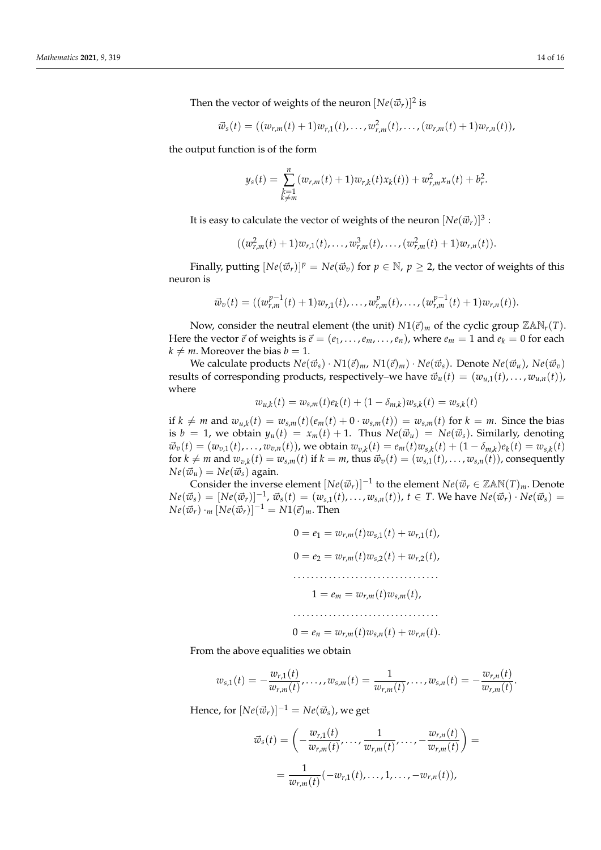Then the vector of weights of the neuron  $[Ne(\vec{w}_r)]^2$  is

$$
\vec{w}_s(t) = ((w_{r,m}(t)+1)w_{r,1}(t),\ldots,w_{r,m}^2(t),\ldots,(w_{r,m}(t)+1)w_{r,n}(t)),
$$

the output function is of the form

$$
y_s(t) = \sum_{\substack{k=1\\k \neq m}}^n (w_{r,m}(t) + 1) w_{r,k}(t) x_k(t) + w_{r,m}^2 x_n(t) + b_r^2.
$$

It is easy to calculate the vector of weights of the neuron  $[Ne(\vec{w}_r)]^3$  :

$$
((w_{r,m}^2(t)+1)w_{r,1}(t),\ldots,w_{r,m}^3(t),\ldots,(w_{r,m}^2(t)+1)w_{r,n}(t)).
$$

Finally, putting  $[Ne(\vec{w}_r)]^p = Ne(\vec{w}_v)$  for  $p \in \mathbb{N}$ ,  $p \ge 2$ , the vector of weights of this neuron is

$$
\vec{w}_v(t) = ((w_{r,m}^{p-1}(t) + 1)w_{r,1}(t), \ldots, w_{r,m}^p(t), \ldots, (w_{r,m}^{p-1}(t) + 1)w_{r,n}(t)).
$$

Now, consider the neutral element (the unit)  $N1(\vec{e})_m$  of the cyclic group  $\mathbb{ZAN}_r(T)$ . Here the vector  $\vec{e}$  of weights is  $\vec{e} = (e_1, \dots, e_m, \dots, e_n)$ , where  $e_m = 1$  and  $e_k = 0$  for each  $k \neq m$ . Moreover the bias  $b = 1$ .

*We calculate products*  $Ne(\vec{w}_s) \cdot N1(\vec{e})_m$ *,*  $N1(\vec{e})_m) \cdot Ne(\vec{w}_s)$ *. Denote*  $Ne(\vec{w}_u)$ *,*  $Ne(\vec{w}_v)$ results of corresponding products, respectively–we have  $\vec{w}_u(t) = (w_{u,1}(t), \dots, w_{u,n}(t)),$ where

$$
w_{u,k}(t) = w_{s,m}(t)e_k(t) + (1 - \delta_{m,k})w_{s,k}(t) = w_{s,k}(t)
$$

if  $k \neq m$  and  $w_{u,k}(t) = w_{s,m}(t)(e_m(t) + 0 \cdot w_{s,m}(t)) = w_{s,m}(t)$  for  $k = m$ . Since the bias is  $b = 1$ , we obtain  $y_u(t) = x_m(t) + 1$ . Thus  $Ne(\vec{w}_u) = Ne(\vec{w}_s)$ . Similarly, denoting  $\vec{w}_v(t)=(w_{v,1}(t),\ldots,w_{v,n}(t)),$  we obtain  $w_{v,k}(t)=e_m(t)w_{s,k}(t)+(1-\delta_{m,k})e_k(t)=w_{s,k}(t)$ for  $k \neq m$  and  $w_{v,k}(t) = w_{s,m}(t)$  if  $k = m$ , thus  $\vec{w}_v(t) = (w_{s,1}(t), \ldots, w_{s,n}(t))$ , consequently  $Ne(\vec{w}_u) = Ne(\vec{w}_s)$  again.

Consider the inverse element  $[Ne(\vec{w}_r)]^{-1}$  to the element  $Ne(\vec{w}_r \in \mathbb{ZAN}(T)_m$ . Denote  $Ne(\vec{w}_s) = [Ne(\vec{w}_r)]^{-1}$ ,  $\vec{w}_s(t) = (w_{s,1}(t), \ldots, w_{s,n}(t))$ ,  $t \in T$ . We have  $Ne(\vec{w}_r) \cdot Ne(\vec{w}_s) =$  $Ne(\vec{w}_r) \cdot_m [Ne(\vec{w}_r)]^{-1} = N1(\vec{e})_m$ . Then

> $0 = e_1 = w_{r,m}(t)w_{s,1}(t) + w_{r,1}(t),$  $0 = e_2 = w_{r,m}(t)w_{s,2}(t) + w_{r,2}(t),$ . . . . . . . . . . . . . . . . . . . . . . . . . . . . . . . . .  $1 = e_m = w_{r,m}(t)w_{s,m}(t)$ , . . . . . . . . . . . . . . . . . . . . . . . . . . . . . . . . .  $0 = e_n = w_{r,m}(t)w_{s,n}(t) + w_{r,n}(t).$

From the above equalities we obtain

$$
w_{s,1}(t)=-\frac{w_{r,1}(t)}{w_{r,m}(t)},\ldots,w_{s,m}(t)=\frac{1}{w_{r,m}(t)},\ldots,w_{s,n}(t)=-\frac{w_{r,n}(t)}{w_{r,m}(t)}.
$$

Hence, for  $[Ne(\vec{w}_r)]^{-1} = Ne(\vec{w}_s)$ , we get

$$
\vec{w}_s(t) = \left( -\frac{w_{r,1}(t)}{w_{r,m}(t)}, \dots, \frac{1}{w_{r,m}(t)}, \dots, -\frac{w_{r,n}(t)}{w_{r,m}(t)} \right) = \\ = \frac{1}{w_{r,m}(t)} (-w_{r,1}(t), \dots, 1, \dots, -w_{r,n}(t)),
$$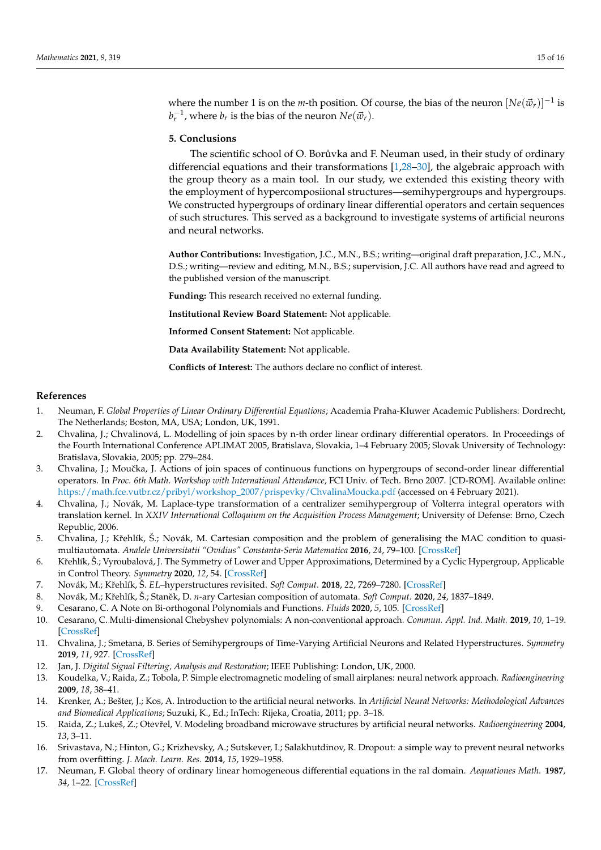where the number 1 is on the *m*-th position. Of course, the bias of the neuron  $[Ne(\vec{w}_r)]^{-1}$  is  $b_r^{-1}$ , where  $b_r$  is the bias of the neuron  $Ne(\vec{w}_r)$ .

## **5. Conclusions**

The scientific school of O. Borůvka and F. Neuman used, in their study of ordinary differencial equations and their transformations [\[1,](#page-14-0)[28](#page-15-6)[–30\]](#page-15-7), the algebraic approach with the group theory as a main tool. In our study, we extended this existing theory with the employment of hypercomposiional structures—semihypergroups and hypergroups. We constructed hypergroups of ordinary linear differential operators and certain sequences of such structures. This served as a background to investigate systems of artificial neurons and neural networks.

**Author Contributions:** Investigation, J.C., M.N., B.S.; writing—original draft preparation, J.C., M.N., D.S.; writing—review and editing, M.N., B.S.; supervision, J.C. All authors have read and agreed to the published version of the manuscript.

**Funding:** This research received no external funding.

**Institutional Review Board Statement:** Not applicable.

**Informed Consent Statement:** Not applicable.

**Data Availability Statement:** Not applicable.

**Conflicts of Interest:** The authors declare no conflict of interest.

#### **References**

- <span id="page-14-0"></span>1. Neuman, F. *Global Properties of Linear Ordinary Differential Equations*; Academia Praha-Kluwer Academic Publishers: Dordrecht, The Netherlands; Boston, MA, USA; London, UK, 1991.
- <span id="page-14-1"></span>2. Chvalina, J.; Chvalinová, L. Modelling of join spaces by n-th order linear ordinary differential operators. In Proceedings of the Fourth International Conference APLIMAT 2005, Bratislava, Slovakia, 1–4 February 2005; Slovak University of Technology: Bratislava, Slovakia, 2005; pp. 279–284.
- <span id="page-14-11"></span>3. Chvalina, J.; Moučka, J. Actions of join spaces of continuous functions on hypergroups of second-order linear differential operators. In *Proc. 6th Math. Workshop with International Attendance*, FCI Univ. of Tech. Brno 2007. [CD-ROM]. Available online: [https://math.fce.vutbr.cz/pribyl/workshop\\_2007/prispevky/ChvalinaMoucka.pdf](https://math.fce.vutbr.cz/pribyl/workshop_2007/prispevky/ChvalinaMoucka.pdf) (accessed on 4 February 2021).
- <span id="page-14-2"></span>4. Chvalina, J.; Novák, M. Laplace-type transformation of a centralizer semihypergroup of Volterra integral operators with translation kernel. In *XXIV International Colloquium on the Acquisition Process Management*; University of Defense: Brno, Czech Republic, 2006.
- <span id="page-14-3"></span>5. Chvalina, J.; Křehlík, Š.; Novák, M. Cartesian composition and the problem of generalising the MAC condition to quasimultiautomata. *Analele Universitatii "Ovidius" Constanta-Seria Matematica* **2016**, *24*, 79–100. [\[CrossRef\]](http://doi.org/10.1515/auom-2016-0049)
- 6. Kˇrehlík, Š.; Vyroubalová, J. The Symmetry of Lower and Upper Approximations, Determined by a Cyclic Hypergroup, Applicable in Control Theory. *Symmetry* **2020**, *12*, 54. [\[CrossRef\]](http://dx.doi.org/10.3390/sym12010054)
- 7. Novák, M.; Kˇrehlík, Š. *EL*–hyperstructures revisited. *Soft Comput.* **2018**, *22*, 7269–7280. [\[CrossRef\]](http://dx.doi.org/10.1007/s00500-017-2728-y)
- <span id="page-14-4"></span>8. Novák, M.; Křehlík, Š.; Staněk, D. *n*-ary Cartesian composition of automata. *Soft Comput.* **2020**, 24, 1837–1849.
- <span id="page-14-5"></span>9. Cesarano, C. A Note on Bi-orthogonal Polynomials and Functions. *Fluids* **2020**, *5*, 105. [\[CrossRef\]](http://dx.doi.org/10.3390/fluids5030105)
- <span id="page-14-6"></span>10. Cesarano, C. Multi-dimensional Chebyshev polynomials: A non-conventional approach. *Commun. Appl. Ind. Math.* **2019**, *10*, 1–19. [\[CrossRef\]](http://dx.doi.org/10.1515/caim-2019-0008)
- <span id="page-14-7"></span>11. Chvalina, J.; Smetana, B. Series of Semihypergroups of Time-Varying Artificial Neurons and Related Hyperstructures. *Symmetry* **2019**, *11*, 927. [\[CrossRef\]](http://dx.doi.org/10.3390/sym11070927)
- <span id="page-14-8"></span>12. Jan, J. *Digital Signal Filtering, Analysis and Restoration*; IEEE Publishing: London, UK, 2000.
- 13. Koudelka, V.; Raida, Z.; Tobola, P. Simple electromagnetic modeling of small airplanes: neural network approach. *Radioengineering* **2009**, *18*, 38–41.
- 14. Krenker, A.; Bešter, J.; Kos, A. Introduction to the artificial neural networks. In *Artificial Neural Networks: Methodological Advances and Biomedical Applications*; Suzuki, K., Ed.; InTech: Rijeka, Croatia, 2011; pp. 3–18.
- 15. Raida, Z.; Lukeš, Z.; Otevˇrel, V. Modeling broadband microwave structures by artificial neural networks. *Radioengineering* **2004**, *13*, 3–11.
- <span id="page-14-9"></span>16. Srivastava, N.; Hinton, G.; Krizhevsky, A.; Sutskever, I.; Salakhutdinov, R. Dropout: a simple way to prevent neural networks from overfitting. *J. Mach. Learn. Res.* **2014**, *15*, 1929–1958.
- <span id="page-14-10"></span>17. Neuman, F. Global theory of ordinary linear homogeneous differential equations in the ral domain. *Aequationes Math.* **1987**, *34*, 1–22. [\[CrossRef\]](http://dx.doi.org/10.1007/BF01840120)